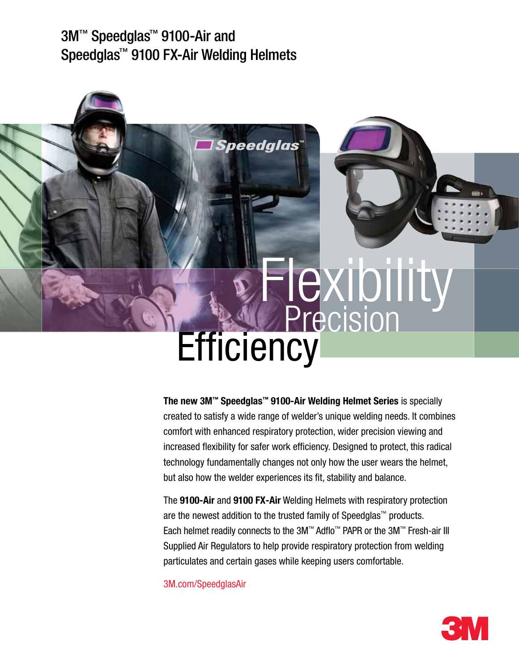# 3M™ Speedglas™ 9100-Air and Speedglas™ 9100 FX-Air Welding Helmets



The new 3M™ Speedglas™ 9100-Air Welding Helmet Series is specially created to satisfy a wide range of welder's unique welding needs. It combines comfort with enhanced respiratory protection, wider precision viewing and increased flexibility for safer work efficiency. Designed to protect, this radical technology fundamentally changes not only how the user wears the helmet, but also how the welder experiences its fit, stability and balance.

The 9100-Air and 9100 FX-Air Welding Helmets with respiratory protection are the newest addition to the trusted family of Speedglas™ products. Each helmet readily connects to the 3M™ Adflo™ PAPR or the 3M™ Fresh-air III Supplied Air Regulators to help provide respiratory protection from welding particulates and certain gases while keeping users comfortable.

3M.com/SpeedglasAir

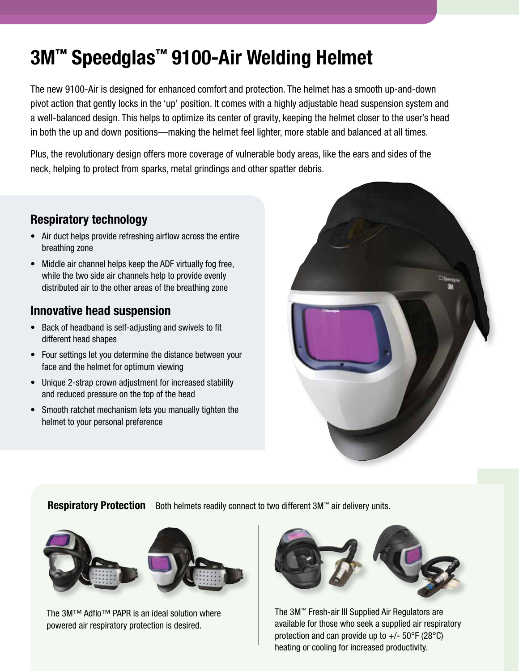# 3M™ Speedglas™ 9100-Air Welding Helmet

The new 9100-Air is designed for enhanced comfort and protection. The helmet has a smooth up-and-down pivot action that gently locks in the 'up' position. It comes with a highly adjustable head suspension system and a well-balanced design. This helps to optimize its center of gravity, keeping the helmet closer to the user's head in both the up and down positions—making the helmet feel lighter, more stable and balanced at all times.

Plus, the revolutionary design offers more coverage of vulnerable body areas, like the ears and sides of the neck, helping to protect from sparks, metal grindings and other spatter debris.

### Respiratory technology

- Air duct helps provide refreshing airflow across the entire breathing zone
- Middle air channel helps keep the ADF virtually fog free, while the two side air channels help to provide evenly distributed air to the other areas of the breathing zone

### Innovative head suspension

- Back of headband is self-adjusting and swivels to fit different head shapes
- Four settings let you determine the distance between your face and the helmet for optimum viewing
- Unique 2-strap crown adjustment for increased stability and reduced pressure on the top of the head
- Smooth ratchet mechanism lets you manually tighten the helmet to your personal preference



**Respiratory Protection** Both helmets readily connect to two different 3M™ air delivery units.



The 3M™ Adflo™ PAPR is an ideal solution where powered air respiratory protection is desired.



The 3M™ Fresh-air III Supplied Air Regulators are available for those who seek a supplied air respiratory protection and can provide up to  $+/-$  50 $\degree$ F (28 $\degree$ C) heating or cooling for increased productivity.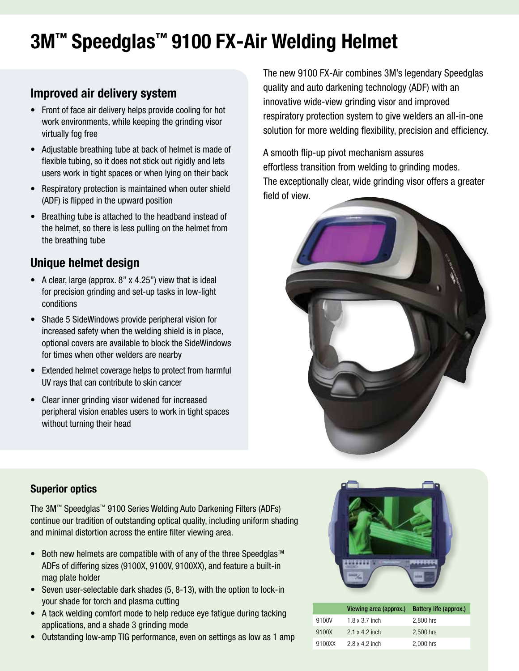# 3M™ Speedglas™ 9100 FX-Air Welding Helmet

## Improved air delivery system

- Front of face air delivery helps provide cooling for hot work environments, while keeping the grinding visor virtually fog free
- Adjustable breathing tube at back of helmet is made of flexible tubing, so it does not stick out rigidly and lets users work in tight spaces or when lying on their back
- Respiratory protection is maintained when outer shield (ADF) is flipped in the upward position
- Breathing tube is attached to the headband instead of the helmet, so there is less pulling on the helmet from the breathing tube

## Unique helmet design

- A clear, large (approx.  $8"$  x 4.25") view that is ideal for precision grinding and set-up tasks in low-light conditions
- • Shade 5 SideWindows provide peripheral vision for increased safety when the welding shield is in place, optional covers are available to block the SideWindows for times when other welders are nearby
- Extended helmet coverage helps to protect from harmful UV rays that can contribute to skin cancer
- Clear inner grinding visor widened for increased peripheral vision enables users to work in tight spaces without turning their head

The new 9100 FX-Air combines 3M's legendary Speedglas quality and auto darkening technology (ADF) with an innovative wide-view grinding visor and improved respiratory protection system to give welders an all-in-one solution for more welding flexibility, precision and efficiency.

A smooth flip-up pivot mechanism assures effortless transition from welding to grinding modes. The exceptionally clear, wide grinding visor offers a greater field of view.



#### Superior optics

The 3M™ Speedglas™ 9100 Series Welding Auto Darkening Filters (ADFs) continue our tradition of outstanding optical quality, including uniform shading and minimal distortion across the entire filter viewing area.

- Both new helmets are compatible with of any of the three Speedglas<sup>TM</sup> ADFs of differing sizes (9100X, 9100V, 9100XX), and feature a built-in mag plate holder
- Seven user-selectable dark shades (5, 8-13), with the option to lock-in your shade for torch and plasma cutting
- A tack welding comfort mode to help reduce eye fatigue during tacking applications, and a shade 3 grinding mode
- Outstanding low-amp TIG performance, even on settings as low as 1 amp



|        | Viewing area (approx.) Battery life (approx.) |           |
|--------|-----------------------------------------------|-----------|
| 9100V  | $1.8 \times 3.7$ inch                         | 2.800 hrs |
| 9100X  | $2.1 \times 4.2$ inch                         | 2,500 hrs |
| 9100XX | $2.8 \times 4.2$ inch                         | 2.000 hrs |